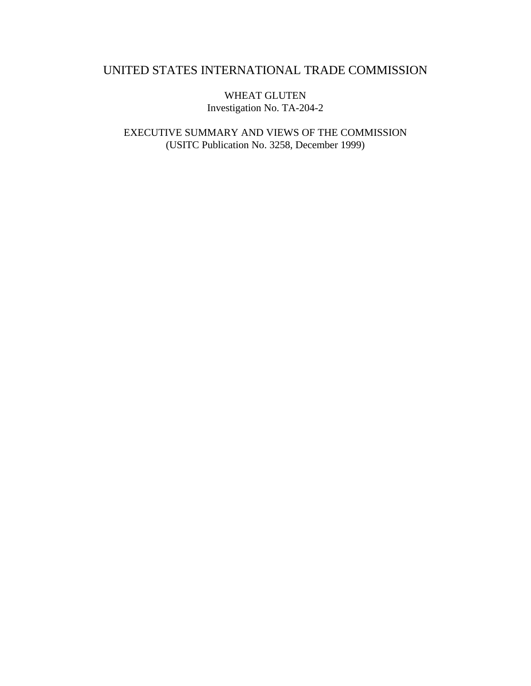# UNITED STATES INTERNATIONAL TRADE COMMISSION

WHEAT GLUTEN Investigation No. TA-204-2

EXECUTIVE SUMMARY AND VIEWS OF THE COMMISSION (USITC Publication No. 3258, December 1999)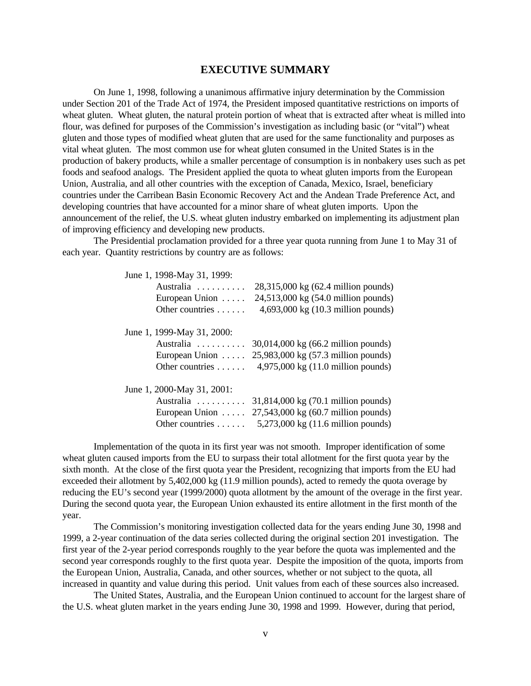## **EXECUTIVE SUMMARY**

On June 1, 1998, following a unanimous affirmative injury determination by the Commission under Section 201 of the Trade Act of 1974, the President imposed quantitative restrictions on imports of wheat gluten. Wheat gluten, the natural protein portion of wheat that is extracted after wheat is milled into flour, was defined for purposes of the Commission's investigation as including basic (or "vital") wheat gluten and those types of modified wheat gluten that are used for the same functionality and purposes as vital wheat gluten. The most common use for wheat gluten consumed in the United States is in the production of bakery products, while a smaller percentage of consumption is in nonbakery uses such as pet foods and seafood analogs. The President applied the quota to wheat gluten imports from the European Union, Australia, and all other countries with the exception of Canada, Mexico, Israel, beneficiary countries under the Carribean Basin Economic Recovery Act and the Andean Trade Preference Act, and developing countries that have accounted for a minor share of wheat gluten imports. Upon the announcement of the relief, the U.S. wheat gluten industry embarked on implementing its adjustment plan of improving efficiency and developing new products.

The Presidential proclamation provided for a three year quota running from June 1 to May 31 of each year. Quantity restrictions by country are as follows:

| June 1, 1998-May 31, 1999: |                                     |
|----------------------------|-------------------------------------|
| Australia                  | 28,315,000 kg (62.4 million pounds) |
| European Union $\dots$     | 24,513,000 kg (54.0 million pounds) |
| Other countries $\dots$ .  | 4,693,000 kg (10.3 million pounds)  |
| June 1, 1999-May 31, 2000: |                                     |
| Australia                  | 30,014,000 kg (66.2 million pounds) |
| European Union $\dots$     | 25,983,000 kg (57.3 million pounds) |
| Other countries $\dots$ .  | 4,975,000 kg (11.0 million pounds)  |
| June 1, 2000-May 31, 2001: |                                     |
| Australia                  | 31,814,000 kg (70.1 million pounds) |
| European Union             | 27,543,000 kg (60.7 million pounds) |
| Other countries            | 5,273,000 kg (11.6 million pounds)  |

Implementation of the quota in its first year was not smooth. Improper identification of some wheat gluten caused imports from the EU to surpass their total allotment for the first quota year by the sixth month. At the close of the first quota year the President, recognizing that imports from the EU had exceeded their allotment by 5,402,000 kg (11.9 million pounds), acted to remedy the quota overage by reducing the EU's second year (1999/2000) quota allotment by the amount of the overage in the first year. During the second quota year, the European Union exhausted its entire allotment in the first month of the year.

The Commission's monitoring investigation collected data for the years ending June 30, 1998 and 1999, a 2-year continuation of the data series collected during the original section 201 investigation. The first year of the 2-year period corresponds roughly to the year before the quota was implemented and the second year corresponds roughly to the first quota year. Despite the imposition of the quota, imports from the European Union, Australia, Canada, and other sources, whether or not subject to the quota, all increased in quantity and value during this period. Unit values from each of these sources also increased.

The United States, Australia, and the European Union continued to account for the largest share of the U.S. wheat gluten market in the years ending June 30, 1998 and 1999. However, during that period,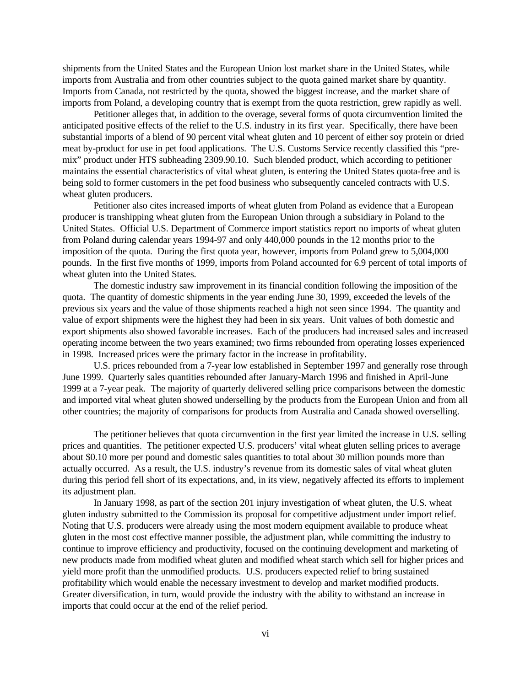shipments from the United States and the European Union lost market share in the United States, while imports from Australia and from other countries subject to the quota gained market share by quantity. Imports from Canada, not restricted by the quota, showed the biggest increase, and the market share of imports from Poland, a developing country that is exempt from the quota restriction, grew rapidly as well.

Petitioner alleges that, in addition to the overage, several forms of quota circumvention limited the anticipated positive effects of the relief to the U.S. industry in its first year. Specifically, there have been substantial imports of a blend of 90 percent vital wheat gluten and 10 percent of either soy protein or dried meat by-product for use in pet food applications. The U.S. Customs Service recently classified this "premix" product under HTS subheading 2309.90.10. Such blended product, which according to petitioner maintains the essential characteristics of vital wheat gluten, is entering the United States quota-free and is being sold to former customers in the pet food business who subsequently canceled contracts with U.S. wheat gluten producers.

Petitioner also cites increased imports of wheat gluten from Poland as evidence that a European producer is transhipping wheat gluten from the European Union through a subsidiary in Poland to the United States. Official U.S. Department of Commerce import statistics report no imports of wheat gluten from Poland during calendar years 1994-97 and only 440,000 pounds in the 12 months prior to the imposition of the quota. During the first quota year, however, imports from Poland grew to 5,004,000 pounds. In the first five months of 1999, imports from Poland accounted for 6.9 percent of total imports of wheat gluten into the United States.

The domestic industry saw improvement in its financial condition following the imposition of the quota. The quantity of domestic shipments in the year ending June 30, 1999, exceeded the levels of the previous six years and the value of those shipments reached a high not seen since 1994. The quantity and value of export shipments were the highest they had been in six years. Unit values of both domestic and export shipments also showed favorable increases. Each of the producers had increased sales and increased operating income between the two years examined; two firms rebounded from operating losses experienced in 1998. Increased prices were the primary factor in the increase in profitability.

U.S. prices rebounded from a 7-year low established in September 1997 and generally rose through June 1999. Quarterly sales quantities rebounded after January-March 1996 and finished in April-June 1999 at a 7-year peak. The majority of quarterly delivered selling price comparisons between the domestic and imported vital wheat gluten showed underselling by the products from the European Union and from all other countries; the majority of comparisons for products from Australia and Canada showed overselling.

The petitioner believes that quota circumvention in the first year limited the increase in U.S. selling prices and quantities. The petitioner expected U.S. producers' vital wheat gluten selling prices to average about \$0.10 more per pound and domestic sales quantities to total about 30 million pounds more than actually occurred. As a result, the U.S. industry's revenue from its domestic sales of vital wheat gluten during this period fell short of its expectations, and, in its view, negatively affected its efforts to implement its adjustment plan.

In January 1998, as part of the section 201 injury investigation of wheat gluten, the U.S. wheat gluten industry submitted to the Commission its proposal for competitive adjustment under import relief. Noting that U.S. producers were already using the most modern equipment available to produce wheat gluten in the most cost effective manner possible, the adjustment plan, while committing the industry to continue to improve efficiency and productivity, focused on the continuing development and marketing of new products made from modified wheat gluten and modified wheat starch which sell for higher prices and yield more profit than the unmodified products. U.S. producers expected relief to bring sustained profitability which would enable the necessary investment to develop and market modified products. Greater diversification, in turn, would provide the industry with the ability to withstand an increase in imports that could occur at the end of the relief period.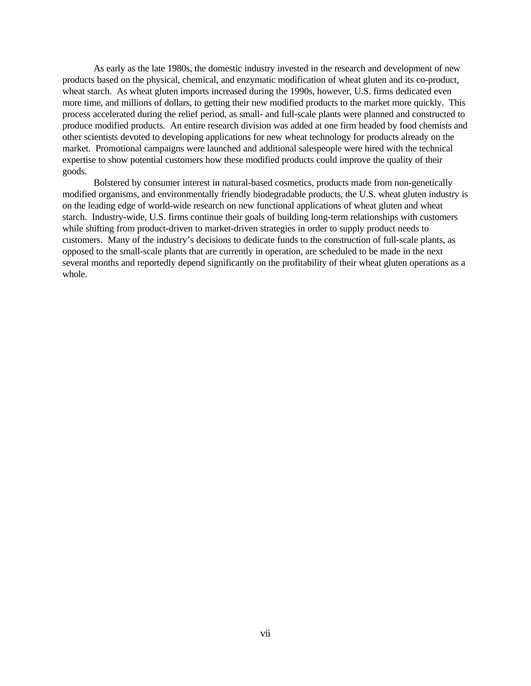As early as the late 1980s, the domestic industry invested in the research and development of new products based on the physical, chemical, and enzymatic modification of wheat gluten and its co-product, wheat starch. As wheat gluten imports increased during the 1990s, however, U.S. firms dedicated even more time, and millions of dollars, to getting their new modified products to the market more quickly. This process accelerated during the relief period, as small- and full-scale plants were planned and constructed to produce modified products. An entire research division was added at one firm headed by food chemists and other scientists devoted to developing applications for new wheat technology for products already on the market. Promotional campaigns were launched and additional salespeople were hired with the technical expertise to show potential customers how these modified products could improve the quality of their goods.

Bolstered by consumer interest in natural-based cosmetics, products made from non-genetically modified organisms, and environmentally friendly biodegradable products, the U.S. wheat gluten industry is on the leading edge of world-wide research on new functional applications of wheat gluten and wheat starch. Industry-wide, U.S. firms continue their goals of building long-term relationships with customers while shifting from product-driven to market-driven strategies in order to supply product needs to customers. Many of the industry's decisions to dedicate funds to the construction of full-scale plants, as opposed to the small-scale plants that are currently in operation, are scheduled to be made in the next several months and reportedly depend significantly on the profitability of their wheat gluten operations as a whole.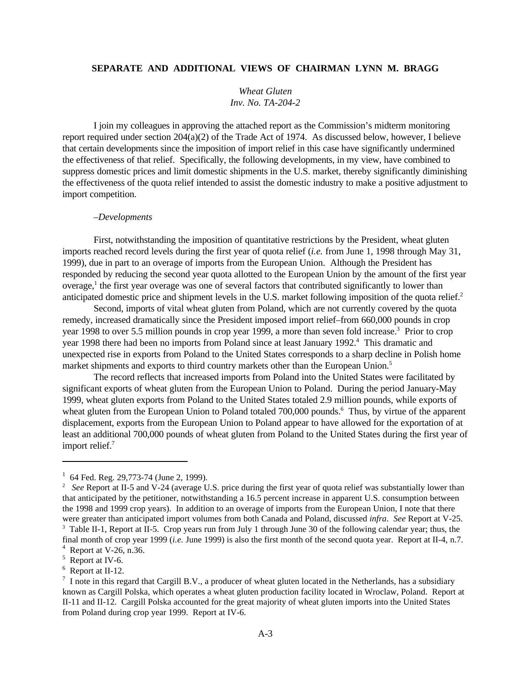## **SEPARATE AND ADDITIONAL VIEWS OF CHAIRMAN LYNN M. BRAGG**

*Wheat Gluten Inv. No. TA-204-2*

I join my colleagues in approving the attached report as the Commission's midterm monitoring report required under section  $204(a)(2)$  of the Trade Act of 1974. As discussed below, however, I believe that certain developments since the imposition of import relief in this case have significantly undermined the effectiveness of that relief. Specifically, the following developments, in my view, have combined to suppress domestic prices and limit domestic shipments in the U.S. market, thereby significantly diminishing the effectiveness of the quota relief intended to assist the domestic industry to make a positive adjustment to import competition.

#### *–Developments*

First, notwithstanding the imposition of quantitative restrictions by the President, wheat gluten imports reached record levels during the first year of quota relief (*i.e.* from June 1, 1998 through May 31, 1999), due in part to an overage of imports from the European Union. Although the President has responded by reducing the second year quota allotted to the European Union by the amount of the first year overage,<sup>1</sup> the first year overage was one of several factors that contributed significantly to lower than anticipated domestic price and shipment levels in the U.S. market following imposition of the quota relief.<sup>2</sup>

Second, imports of vital wheat gluten from Poland, which are not currently covered by the quota remedy, increased dramatically since the President imposed import relief–from 660,000 pounds in crop year 1998 to over 5.5 million pounds in crop year 1999, a more than seven fold increase.<sup>3</sup> Prior to crop year 1998 there had been no imports from Poland since at least January 1992.<sup>4</sup> This dramatic and unexpected rise in exports from Poland to the United States corresponds to a sharp decline in Polish home market shipments and exports to third country markets other than the European Union.<sup>5</sup>

The record reflects that increased imports from Poland into the United States were facilitated by significant exports of wheat gluten from the European Union to Poland. During the period January-May 1999, wheat gluten exports from Poland to the United States totaled 2.9 million pounds, while exports of wheat gluten from the European Union to Poland totaled 700,000 pounds.<sup>6</sup> Thus, by virtue of the apparent displacement, exports from the European Union to Poland appear to have allowed for the exportation of at least an additional 700,000 pounds of wheat gluten from Poland to the United States during the first year of import relief.<sup>7</sup>

<sup>&</sup>lt;sup>1</sup> 64 Fed. Reg. 29,773-74 (June 2, 1999).

<sup>&</sup>lt;sup>2</sup> See Report at II-5 and V-24 (average U.S. price during the first year of quota relief was substantially lower than that anticipated by the petitioner, notwithstanding a 16.5 percent increase in apparent U.S. consumption between the 1998 and 1999 crop years). In addition to an overage of imports from the European Union, I note that there were greater than anticipated import volumes from both Canada and Poland, discussed *infra*. *See* Report at V-25. <sup>3</sup> Table II-1, Report at II-5. Crop years run from July 1 through June 30 of the following calendar year; thus, the

final month of crop year 1999 (*i.e.* June 1999) is also the first month of the second quota year. Report at II-4, n.7.

<sup>4</sup> Report at V-26, n.36.

<sup>&</sup>lt;sup>5</sup> Report at IV-6.

<sup>&</sup>lt;sup>6</sup> Report at II-12.

 $<sup>7</sup>$  I note in this regard that Cargill B.V., a producer of wheat gluten located in the Netherlands, has a subsidiary</sup> known as Cargill Polska, which operates a wheat gluten production facility located in Wroclaw, Poland. Report at II-11 and II-12. Cargill Polska accounted for the great majority of wheat gluten imports into the United States from Poland during crop year 1999. Report at IV-6.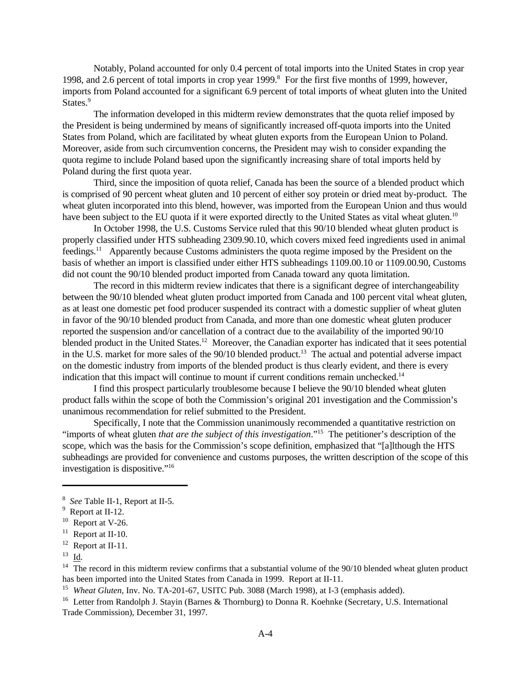Notably, Poland accounted for only 0.4 percent of total imports into the United States in crop year 1998, and 2.6 percent of total imports in crop year 1999.<sup>8</sup> For the first five months of 1999, however, imports from Poland accounted for a significant 6.9 percent of total imports of wheat gluten into the United States.<sup>9</sup>

The information developed in this midterm review demonstrates that the quota relief imposed by the President is being undermined by means of significantly increased off-quota imports into the United States from Poland, which are facilitated by wheat gluten exports from the European Union to Poland. Moreover, aside from such circumvention concerns, the President may wish to consider expanding the quota regime to include Poland based upon the significantly increasing share of total imports held by Poland during the first quota year.

Third, since the imposition of quota relief, Canada has been the source of a blended product which is comprised of 90 percent wheat gluten and 10 percent of either soy protein or dried meat by-product. The wheat gluten incorporated into this blend, however, was imported from the European Union and thus would have been subject to the EU quota if it were exported directly to the United States as vital wheat gluten.<sup>10</sup>

In October 1998, the U.S. Customs Service ruled that this 90/10 blended wheat gluten product is properly classified under HTS subheading 2309.90.10, which covers mixed feed ingredients used in animal feedings.<sup>11</sup> Apparently because Customs administers the quota regime imposed by the President on the basis of whether an import is classified under either HTS subheadings 1109.00.10 or 1109.00.90, Customs did not count the 90/10 blended product imported from Canada toward any quota limitation.

The record in this midterm review indicates that there is a significant degree of interchangeability between the 90/10 blended wheat gluten product imported from Canada and 100 percent vital wheat gluten, as at least one domestic pet food producer suspended its contract with a domestic supplier of wheat gluten in favor of the 90/10 blended product from Canada, and more than one domestic wheat gluten producer reported the suspension and/or cancellation of a contract due to the availability of the imported 90/10 blended product in the United States.<sup>12</sup> Moreover, the Canadian exporter has indicated that it sees potential in the U.S. market for more sales of the 90/10 blended product.<sup>13</sup> The actual and potential adverse impact on the domestic industry from imports of the blended product is thus clearly evident, and there is every indication that this impact will continue to mount if current conditions remain unchecked.<sup>14</sup>

I find this prospect particularly troublesome because I believe the 90/10 blended wheat gluten product falls within the scope of both the Commission's original 201 investigation and the Commission's unanimous recommendation for relief submitted to the President.

Specifically, I note that the Commission unanimously recommended a quantitative restriction on "imports of wheat gluten *that are the subject of this investigation*."<sup>15</sup> The petitioner's description of the scope, which was the basis for the Commission's scope definition, emphasized that "[a]lthough the HTS subheadings are provided for convenience and customs purposes, the written description of the scope of this investigation is dispositive."16

<sup>14</sup> The record in this midterm review confirms that a substantial volume of the 90/10 blended wheat gluten product has been imported into the United States from Canada in 1999. Report at II-11.

<sup>16</sup> Letter from Randolph J. Stayin (Barnes & Thornburg) to Donna R. Koehnke (Secretary, U.S. International Trade Commission), December 31, 1997.

<sup>8</sup> *See* Table II-1, Report at II-5.

 $9$  Report at II-12.

 $10$  Report at V-26.

 $11$  Report at II-10.

 $12$  Report at II-11.

 $^{13}$   $\underline{\text{Id}}$ .

<sup>&</sup>lt;sup>15</sup> Wheat Gluten, Inv. No. TA-201-67, USITC Pub. 3088 (March 1998), at I-3 (emphasis added).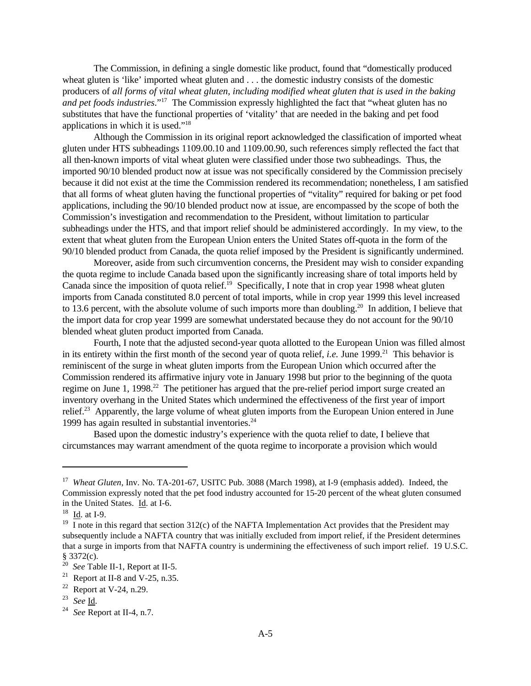The Commission, in defining a single domestic like product, found that "domestically produced wheat gluten is 'like' imported wheat gluten and . . . the domestic industry consists of the domestic producers of *all forms of vital wheat gluten, including modified wheat gluten that is used in the baking and pet foods industries*."<sup>17</sup> The Commission expressly highlighted the fact that "wheat gluten has no substitutes that have the functional properties of 'vitality' that are needed in the baking and pet food applications in which it is used."<sup>18</sup>

Although the Commission in its original report acknowledged the classification of imported wheat gluten under HTS subheadings 1109.00.10 and 1109.00.90, such references simply reflected the fact that all then-known imports of vital wheat gluten were classified under those two subheadings. Thus, the imported 90/10 blended product now at issue was not specifically considered by the Commission precisely because it did not exist at the time the Commission rendered its recommendation; nonetheless, I am satisfied that all forms of wheat gluten having the functional properties of "vitality" required for baking or pet food applications, including the 90/10 blended product now at issue, are encompassed by the scope of both the Commission's investigation and recommendation to the President, without limitation to particular subheadings under the HTS, and that import relief should be administered accordingly. In my view, to the extent that wheat gluten from the European Union enters the United States off-quota in the form of the 90/10 blended product from Canada, the quota relief imposed by the President is significantly undermined.

Moreover, aside from such circumvention concerns, the President may wish to consider expanding the quota regime to include Canada based upon the significantly increasing share of total imports held by Canada since the imposition of quota relief.<sup>19</sup> Specifically, I note that in crop year 1998 wheat gluten imports from Canada constituted 8.0 percent of total imports, while in crop year 1999 this level increased to 13.6 percent, with the absolute volume of such imports more than doubling.<sup>20</sup> In addition, I believe that the import data for crop year 1999 are somewhat understated because they do not account for the 90/10 blended wheat gluten product imported from Canada.

Fourth, I note that the adjusted second-year quota allotted to the European Union was filled almost in its entirety within the first month of the second year of quota relief, *i.e.* June 1999.<sup>21</sup> This behavior is reminiscent of the surge in wheat gluten imports from the European Union which occurred after the Commission rendered its affirmative injury vote in January 1998 but prior to the beginning of the quota regime on June 1, 1998.<sup>22</sup> The petitioner has argued that the pre-relief period import surge created an inventory overhang in the United States which undermined the effectiveness of the first year of import relief.<sup>23</sup> Apparently, the large volume of wheat gluten imports from the European Union entered in June 1999 has again resulted in substantial inventories. $24$ 

Based upon the domestic industry's experience with the quota relief to date, I believe that circumstances may warrant amendment of the quota regime to incorporate a provision which would

<sup>&</sup>lt;sup>17</sup> Wheat Gluten, Inv. No. TA-201-67, USITC Pub. 3088 (March 1998), at I-9 (emphasis added). Indeed, the Commission expressly noted that the pet food industry accounted for 15-20 percent of the wheat gluten consumed in the United States. Id. at I-6.

 $18$  Id. at I-9.

<sup>&</sup>lt;sup>19</sup> I note in this regard that section 312(c) of the NAFTA Implementation Act provides that the President may subsequently include a NAFTA country that was initially excluded from import relief, if the President determines that a surge in imports from that NAFTA country is undermining the effectiveness of such import relief. 19 U.S.C. § 3372(c).

<sup>20</sup> *See* Table II-1, Report at II-5.

<sup>&</sup>lt;sup>21</sup> Report at II-8 and V-25, n.35.

 $22$  Report at V-24, n.29.

<sup>23</sup> *See* Id.

<sup>24</sup> *See* Report at II-4, n.7.